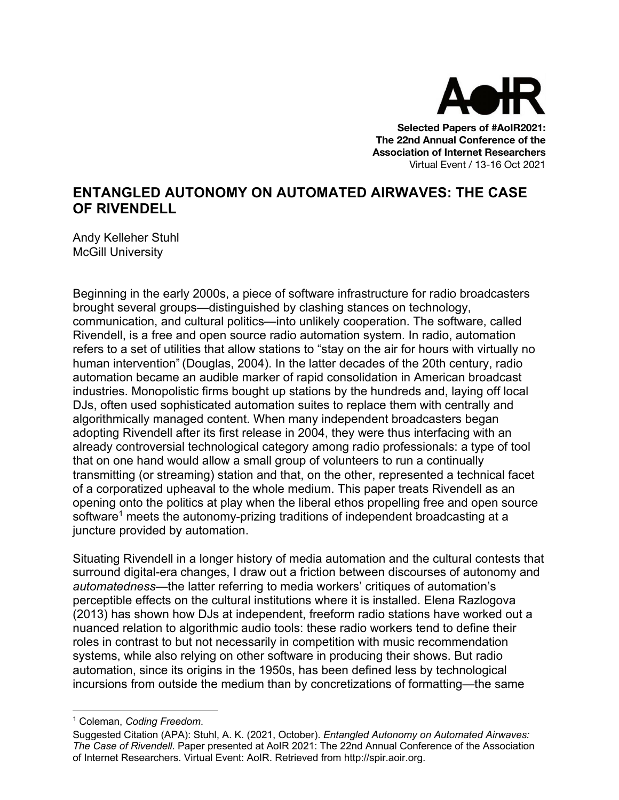

**Selected Papers of #AoIR2021: The 22nd Annual Conference of the Association of Internet Researchers** Virtual Event / 13-16 Oct 2021

## **ENTANGLED AUTONOMY ON AUTOMATED AIRWAVES: THE CASE OF RIVENDELL**

Andy Kelleher Stuhl McGill University

Beginning in the early 2000s, a piece of software infrastructure for radio broadcasters brought several groups—distinguished by clashing stances on technology, communication, and cultural politics—into unlikely cooperation. The software, called Rivendell, is a free and open source radio automation system. In radio, automation refers to a set of utilities that allow stations to "stay on the air for hours with virtually no human intervention" (Douglas, 2004). In the latter decades of the 20th century, radio automation became an audible marker of rapid consolidation in American broadcast industries. Monopolistic firms bought up stations by the hundreds and, laying off local DJs, often used sophisticated automation suites to replace them with centrally and algorithmically managed content. When many independent broadcasters began adopting Rivendell after its first release in 2004, they were thus interfacing with an already controversial technological category among radio professionals: a type of tool that on one hand would allow a small group of volunteers to run a continually transmitting (or streaming) station and that, on the other, represented a technical facet of a corporatized upheaval to the whole medium. This paper treats Rivendell as an opening onto the politics at play when the liberal ethos propelling free and open source software<sup>1</sup> meets the autonomy-prizing traditions of independent broadcasting at a juncture provided by automation.

Situating Rivendell in a longer history of media automation and the cultural contests that surround digital-era changes, I draw out a friction between discourses of autonomy and *automatedness*—the latter referring to media workers' critiques of automation's perceptible effects on the cultural institutions where it is installed. Elena Razlogova (2013) has shown how DJs at independent, freeform radio stations have worked out a nuanced relation to algorithmic audio tools: these radio workers tend to define their roles in contrast to but not necessarily in competition with music recommendation systems, while also relying on other software in producing their shows. But radio automation, since its origins in the 1950s, has been defined less by technological incursions from outside the medium than by concretizations of formatting—the same

<sup>1</sup> Coleman, *Coding Freedom*.

Suggested Citation (APA): Stuhl, A. K. (2021, October). *Entangled Autonomy on Automated Airwaves: The Case of Rivendell*. Paper presented at AoIR 2021: The 22nd Annual Conference of the Association of Internet Researchers. Virtual Event: AoIR. Retrieved from http://spir.aoir.org.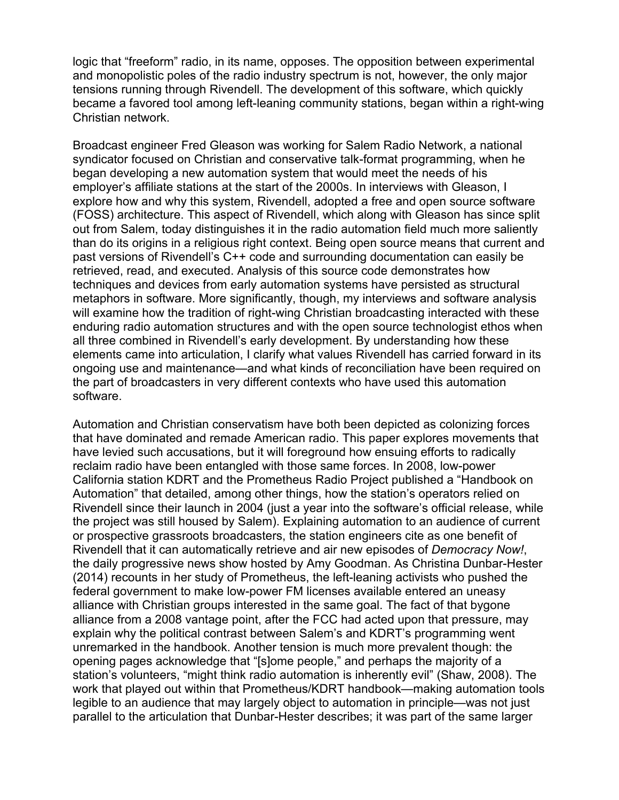logic that "freeform" radio, in its name, opposes. The opposition between experimental and monopolistic poles of the radio industry spectrum is not, however, the only major tensions running through Rivendell. The development of this software, which quickly became a favored tool among left-leaning community stations, began within a right-wing Christian network.

Broadcast engineer Fred Gleason was working for Salem Radio Network, a national syndicator focused on Christian and conservative talk-format programming, when he began developing a new automation system that would meet the needs of his employer's affiliate stations at the start of the 2000s. In interviews with Gleason, I explore how and why this system, Rivendell, adopted a free and open source software (FOSS) architecture. This aspect of Rivendell, which along with Gleason has since split out from Salem, today distinguishes it in the radio automation field much more saliently than do its origins in a religious right context. Being open source means that current and past versions of Rivendell's C++ code and surrounding documentation can easily be retrieved, read, and executed. Analysis of this source code demonstrates how techniques and devices from early automation systems have persisted as structural metaphors in software. More significantly, though, my interviews and software analysis will examine how the tradition of right-wing Christian broadcasting interacted with these enduring radio automation structures and with the open source technologist ethos when all three combined in Rivendell's early development. By understanding how these elements came into articulation, I clarify what values Rivendell has carried forward in its ongoing use and maintenance—and what kinds of reconciliation have been required on the part of broadcasters in very different contexts who have used this automation software.

Automation and Christian conservatism have both been depicted as colonizing forces that have dominated and remade American radio. This paper explores movements that have levied such accusations, but it will foreground how ensuing efforts to radically reclaim radio have been entangled with those same forces. In 2008, low-power California station KDRT and the Prometheus Radio Project published a "Handbook on Automation" that detailed, among other things, how the station's operators relied on Rivendell since their launch in 2004 (just a year into the software's official release, while the project was still housed by Salem). Explaining automation to an audience of current or prospective grassroots broadcasters, the station engineers cite as one benefit of Rivendell that it can automatically retrieve and air new episodes of *Democracy Now!*, the daily progressive news show hosted by Amy Goodman. As Christina Dunbar-Hester (2014) recounts in her study of Prometheus, the left-leaning activists who pushed the federal government to make low-power FM licenses available entered an uneasy alliance with Christian groups interested in the same goal. The fact of that bygone alliance from a 2008 vantage point, after the FCC had acted upon that pressure, may explain why the political contrast between Salem's and KDRT's programming went unremarked in the handbook. Another tension is much more prevalent though: the opening pages acknowledge that "[s]ome people," and perhaps the majority of a station's volunteers, "might think radio automation is inherently evil" (Shaw, 2008). The work that played out within that Prometheus/KDRT handbook—making automation tools legible to an audience that may largely object to automation in principle—was not just parallel to the articulation that Dunbar-Hester describes; it was part of the same larger